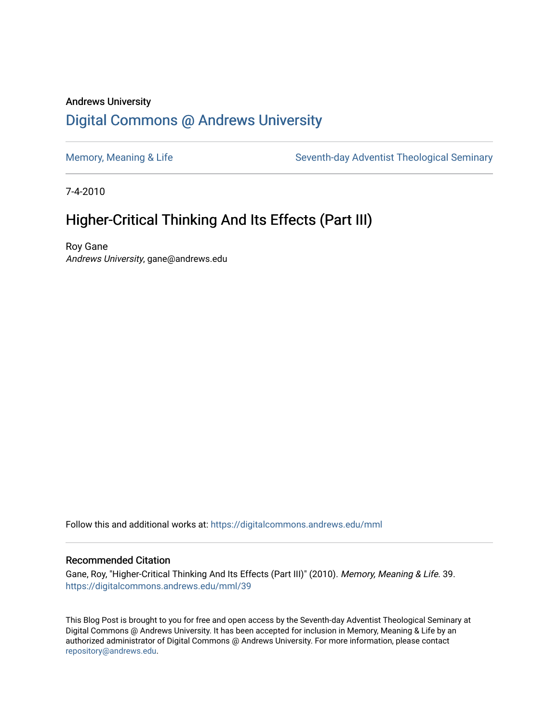#### Andrews University [Digital Commons @ Andrews University](https://digitalcommons.andrews.edu/)

[Memory, Meaning & Life](https://digitalcommons.andrews.edu/mml) Seventh-day Adventist Theological Seminary

7-4-2010

#### Higher-Critical Thinking And Its Effects (Part III)

Roy Gane Andrews University, gane@andrews.edu

Follow this and additional works at: [https://digitalcommons.andrews.edu/mml](https://digitalcommons.andrews.edu/mml?utm_source=digitalcommons.andrews.edu%2Fmml%2F39&utm_medium=PDF&utm_campaign=PDFCoverPages) 

#### Recommended Citation

Gane, Roy, "Higher-Critical Thinking And Its Effects (Part III)" (2010). Memory, Meaning & Life. 39. [https://digitalcommons.andrews.edu/mml/39](https://digitalcommons.andrews.edu/mml/39?utm_source=digitalcommons.andrews.edu%2Fmml%2F39&utm_medium=PDF&utm_campaign=PDFCoverPages)

This Blog Post is brought to you for free and open access by the Seventh-day Adventist Theological Seminary at Digital Commons @ Andrews University. It has been accepted for inclusion in Memory, Meaning & Life by an authorized administrator of Digital Commons @ Andrews University. For more information, please contact [repository@andrews.edu](mailto:repository@andrews.edu).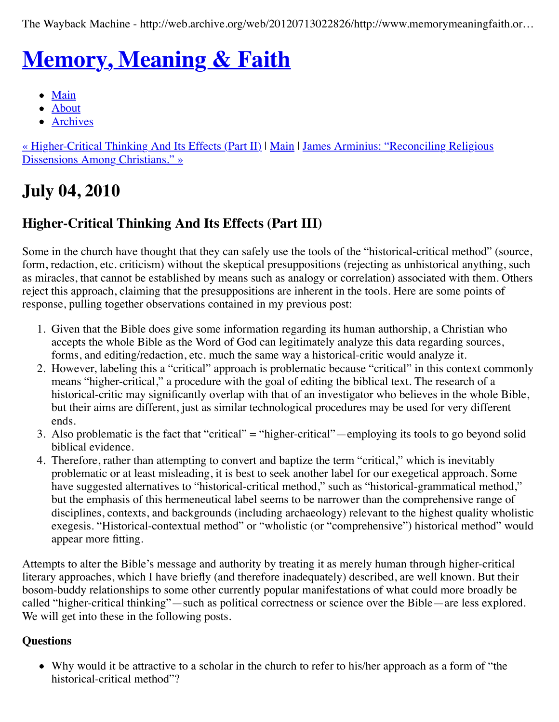The Wayback Machine - http://web.archive.org/web/20120713022826/http://www.memorymeaningfaith.or…

# **[Memory, Meaning & Faith](http://web.archive.org/web/20120713022826/http://www.memorymeaningfaith.org/blog/)**

- [Main](http://web.archive.org/web/20120713022826/http://www.memorymeaningfaith.org/blog)
- [About](http://web.archive.org/web/20120713022826/http://www.memorymeaningfaith.org/blog/about.html)
- [Archives](http://web.archive.org/web/20120713022826/http://www.memorymeaningfaith.org/blog/archives.html)

[« Higher-Critical Thinking And Its Effects \(Part II\)](http://web.archive.org/web/20120713022826/http://www.memorymeaningfaith.org/blog/2010/07/highercritical-thinking-part-ii.html) [| M](http://web.archive.org/web/20120713022826/http://www.memorymeaningfaith.org/blog/2010/07/james-arminius-reconciling-christians.html)[ain](http://web.archive.org/web/20120713022826/http://www.memorymeaningfaith.org/blog/) | James Arminius: "Reconciling Religious Dissensions Among Christians." »

# **July 04, 2010**

#### **Higher-Critical Thinking And Its Effects (Part III)**

Some in the church have thought that they can safely use the tools of the "historical-critical method" (source, form, redaction, etc. criticism) without the skeptical presuppositions (rejecting as unhistorical anything, such as miracles, that cannot be established by means such as analogy or correlation) associated with them. Others reject this approach, claiming that the presuppositions are inherent in the tools. Here are some points of response, pulling together observations contained in my previous post:

- 1. Given that the Bible does give some information regarding its human authorship, a Christian who accepts the whole Bible as the Word of God can legitimately analyze this data regarding sources, forms, and editing/redaction, etc. much the same way a historical-critic would analyze it.
- 2. However, labeling this a "critical" approach is problematic because "critical" in this context commonly means "higher-critical," a procedure with the goal of editing the biblical text. The research of a historical-critic may significantly overlap with that of an investigator who believes in the whole Bible, but their aims are different, just as similar technological procedures may be used for very different ends.
- 3. Also problematic is the fact that "critical" = "higher-critical"—employing its tools to go beyond solid biblical evidence.
- 4. Therefore, rather than attempting to convert and baptize the term "critical," which is inevitably problematic or at least misleading, it is best to seek another label for our exegetical approach. Some have suggested alternatives to "historical-critical method," such as "historical-grammatical method," but the emphasis of this hermeneutical label seems to be narrower than the comprehensive range of disciplines, contexts, and backgrounds (including archaeology) relevant to the highest quality wholistic exegesis. "Historical-contextual method" or "wholistic (or "comprehensive") historical method" would appear more fitting.

Attempts to alter the Bible's message and authority by treating it as merely human through higher-critical literary approaches, which I have briefly (and therefore inadequately) described, are well known. But their bosom-buddy relationships to some other currently popular manifestations of what could more broadly be called "higher-critical thinking"—such as political correctness or science over the Bible—are less explored. We will get into these in the following posts.

#### **Questions**

Why would it be attractive to a scholar in the church to refer to his/her approach as a form of "the historical-critical method"?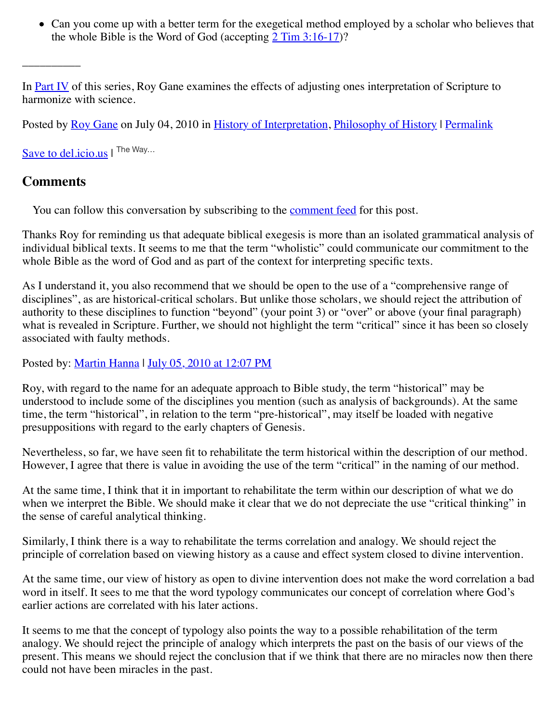• Can you come up with a better term for the exegetical method employed by a scholar who believes that the whole Bible is the Word of God (accepting [2 Tim 3:16-17\)](http://web.archive.org/web/20120713022826/http://www.biblestudytools.com/nrs/2-timothy/passage.aspx?q=2%20Timothy+3:16-17)?

In **Part IV** of this series, Roy Gane examines the effects of adjusting ones interpretation of Scripture to harmonize with science.

Posted by [Roy Gane](http://web.archive.org/web/20120713022826/http://profile.typepad.com/rgane) on July 04, 2010 in [History of Interpretation](http://web.archive.org/web/20120713022826/http://www.memorymeaningfaith.org/blog/history-of-interpretation/), [Philosophy of History](http://web.archive.org/web/20120713022826/http://www.memorymeaningfaith.org/blog/philosophy-of-history/) | [Permalink](http://web.archive.org/web/20120713022826/http://www.memorymeaningfaith.org/blog/2010/07/highercritical-thinking-part-iii.html)

[Save to del.icio.us](http://web.archive.org/web/20120713022826/http://del.icio.us/post) I The Way...

#### **Comments**

 $\overline{\phantom{a}}$ 

You can follow this conversation by subscribing to the [comment feed](http://web.archive.org/web/20120713022826/http://www.memorymeaningfaith.org/blog/2010/07/highercritical-thinking-part-iii/comments/atom.xml) for this post.

Thanks Roy for reminding us that adequate biblical exegesis is more than an isolated grammatical analysis of individual biblical texts. It seems to me that the term "wholistic" could communicate our commitment to the whole Bible as the word of God and as part of the context for interpreting specific texts.

As I understand it, you also recommend that we should be open to the use of a "comprehensive range of disciplines", as are historical-critical scholars. But unlike those scholars, we should reject the attribution of authority to these disciplines to function "beyond" (your point 3) or "over" or above (your final paragraph) what is revealed in Scripture. Further, we should not highlight the term "critical" since it has been so closely associated with faulty methods.

Posted by: [Martin Hanna](http://web.archive.org/web/20120713022826/http://cosmicchristconnections.blogspot.com/) | [July 05, 2010 at 12:07 PM](http://web.archive.org/web/20120713022826/http://www.memorymeaningfaith.org/blog/2010/07/highercritical-thinking-part-iii.html?cid=6a01287656f488970c0133f2121cc9970b#comment-6a01287656f488970c0133f2121cc9970b)

Roy, with regard to the name for an adequate approach to Bible study, the term "historical" may be understood to include some of the disciplines you mention (such as analysis of backgrounds). At the same time, the term "historical", in relation to the term "pre-historical", may itself be loaded with negative presuppositions with regard to the early chapters of Genesis.

Nevertheless, so far, we have seen fit to rehabilitate the term historical within the description of our method. However, I agree that there is value in avoiding the use of the term "critical" in the naming of our method.

At the same time, I think that it in important to rehabilitate the term within our description of what we do when we interpret the Bible. We should make it clear that we do not depreciate the use "critical thinking" in the sense of careful analytical thinking.

Similarly, I think there is a way to rehabilitate the terms correlation and analogy. We should reject the principle of correlation based on viewing history as a cause and effect system closed to divine intervention.

At the same time, our view of history as open to divine intervention does not make the word correlation a bad word in itself. It sees to me that the word typology communicates our concept of correlation where God's earlier actions are correlated with his later actions.

It seems to me that the concept of typology also points the way to a possible rehabilitation of the term analogy. We should reject the principle of analogy which interprets the past on the basis of our views of the present. This means we should reject the conclusion that if we think that there are no miracles now then there could not have been miracles in the past.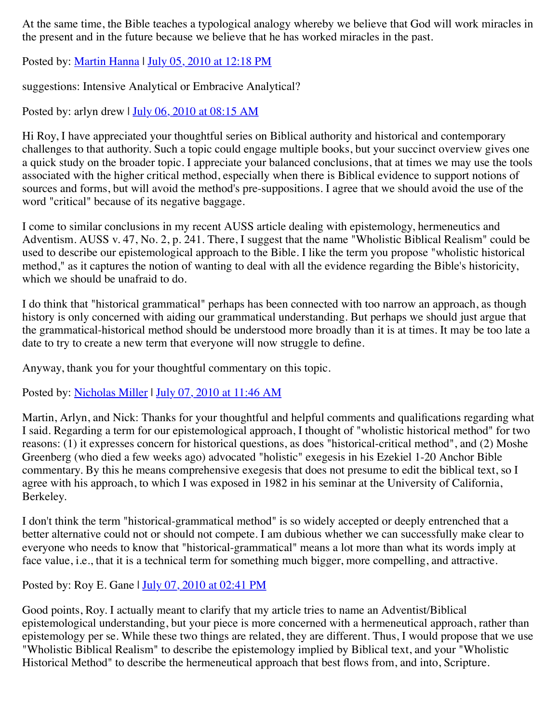At the same time, the Bible teaches a typological analogy whereby we believe that God will work miracles in the present and in the future because we believe that he has worked miracles in the past.

Posted by: [Martin Hanna](http://web.archive.org/web/20120713022826/http://cosmicchristconnections.blogspot.com/) | [July 05, 2010 at 12:18 PM](http://web.archive.org/web/20120713022826/http://www.memorymeaningfaith.org/blog/2010/07/highercritical-thinking-part-iii.html?cid=6a01287656f488970c0133f2122a47970b#comment-6a01287656f488970c0133f2122a47970b)

suggestions: Intensive Analytical or Embracive Analytical?

Posted by: arlyn drew | [July 06, 2010 at 08:15 AM](http://web.archive.org/web/20120713022826/http://www.memorymeaningfaith.org/blog/2010/07/highercritical-thinking-part-iii.html?cid=6a01287656f488970c0134853c3e82970c#comment-6a01287656f488970c0134853c3e82970c)

Hi Roy, I have appreciated your thoughtful series on Biblical authority and historical and contemporary challenges to that authority. Such a topic could engage multiple books, but your succinct overview gives one a quick study on the broader topic. I appreciate your balanced conclusions, that at times we may use the tools associated with the higher critical method, especially when there is Biblical evidence to support notions of sources and forms, but will avoid the method's pre-suppositions. I agree that we should avoid the use of the word "critical" because of its negative baggage.

I come to similar conclusions in my recent AUSS article dealing with epistemology, hermeneutics and Adventism. AUSS v. 47, No. 2, p. 241. There, I suggest that the name "Wholistic Biblical Realism" could be used to describe our epistemological approach to the Bible. I like the term you propose "wholistic historical method," as it captures the notion of wanting to deal with all the evidence regarding the Bible's historicity, which we should be unafraid to do.

I do think that "historical grammatical" perhaps has been connected with too narrow an approach, as though history is only concerned with aiding our grammatical understanding. But perhaps we should just argue that the grammatical-historical method should be understood more broadly than it is at times. It may be too late a date to try to create a new term that everyone will now struggle to define.

Anyway, thank you for your thoughtful commentary on this topic.

Posted by: [Nicholas Miller](http://web.archive.org/web/20120713022826/http://profile.typepad.com/nicholasmiller) | [July 07, 2010 at 11:46 AM](http://web.archive.org/web/20120713022826/http://www.memorymeaningfaith.org/blog/2010/07/highercritical-thinking-part-iii.html?cid=6a01287656f488970c013485444e3a970c#comment-6a01287656f488970c013485444e3a970c)

Martin, Arlyn, and Nick: Thanks for your thoughtful and helpful comments and qualifications regarding what I said. Regarding a term for our epistemological approach, I thought of "wholistic historical method" for two reasons: (1) it expresses concern for historical questions, as does "historical-critical method", and (2) Moshe Greenberg (who died a few weeks ago) advocated "holistic" exegesis in his Ezekiel 1-20 Anchor Bible commentary. By this he means comprehensive exegesis that does not presume to edit the biblical text, so I agree with his approach, to which I was exposed in 1982 in his seminar at the University of California, Berkeley.

I don't think the term "historical-grammatical method" is so widely accepted or deeply entrenched that a better alternative could not or should not compete. I am dubious whether we can successfully make clear to everyone who needs to know that "historical-grammatical" means a lot more than what its words imply at face value, i.e., that it is a technical term for something much bigger, more compelling, and attractive.

Posted by: Roy E. Gane | <u>July 07, 2010 at 02:41 PM</u>

Good points, Roy. I actually meant to clarify that my article tries to name an Adventist/Biblical epistemological understanding, but your piece is more concerned with a hermeneutical approach, rather than epistemology per se. While these two things are related, they are different. Thus, I would propose that we use "Wholistic Biblical Realism" to describe the epistemology implied by Biblical text, and your "Wholistic Historical Method" to describe the hermeneutical approach that best flows from, and into, Scripture.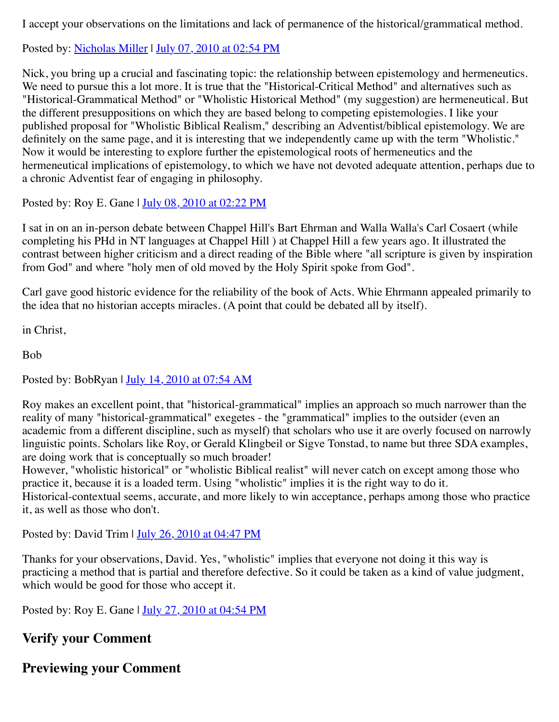I accept your observations on the limitations and lack of permanence of the historical/grammatical method.

Posted by: [Nicholas Miller](http://web.archive.org/web/20120713022826/http://profile.typepad.com/nicholasmiller) | [July 07, 2010 at 02:54 PM](http://web.archive.org/web/20120713022826/http://www.memorymeaningfaith.org/blog/2010/07/highercritical-thinking-part-iii.html?cid=6a01287656f488970c013485452cbc970c#comment-6a01287656f488970c013485452cbc970c)

Nick, you bring up a crucial and fascinating topic: the relationship between epistemology and hermeneutics. We need to pursue this a lot more. It is true that the "Historical-Critical Method" and alternatives such as "Historical-Grammatical Method" or "Wholistic Historical Method" (my suggestion) are hermeneutical. But the different presuppositions on which they are based belong to competing epistemologies. I like your published proposal for "Wholistic Biblical Realism," describing an Adventist/biblical epistemology. We are definitely on the same page, and it is interesting that we independently came up with the term "Wholistic." Now it would be interesting to explore further the epistemological roots of hermeneutics and the hermeneutical implications of epistemology, to which we have not devoted adequate attention, perhaps due to a chronic Adventist fear of engaging in philosophy.

Posted by: Roy E. Gane | [July 08, 2010 at 02:22 PM](http://web.archive.org/web/20120713022826/http://www.memorymeaningfaith.org/blog/2010/07/highercritical-thinking-part-iii.html?cid=6a01287656f488970c0134854c364a970c#comment-6a01287656f488970c0134854c364a970c)

I sat in on an in-person debate between Chappel Hill's Bart Ehrman and Walla Walla's Carl Cosaert (while completing his PHd in NT languages at Chappel Hill ) at Chappel Hill a few years ago. It illustrated the contrast between higher criticism and a direct reading of the Bible where "all scripture is given by inspiration from God" and where "holy men of old moved by the Holy Spirit spoke from God".

Carl gave good historic evidence for the reliability of the book of Acts. Whie Ehrmann appealed primarily to the idea that no historian accepts miracles. (A point that could be debated all by itself).

in Christ,

Bob

Posted by: BobRyan | [July 14, 2010 at 07:54 AM](http://web.archive.org/web/20120713022826/http://www.memorymeaningfaith.org/blog/2010/07/highercritical-thinking-part-iii.html?cid=6a01287656f488970c0134856c626e970c#comment-6a01287656f488970c0134856c626e970c)

Roy makes an excellent point, that "historical-grammatical" implies an approach so much narrower than the reality of many "historical-grammatical" exegetes - the "grammatical" implies to the outsider (even an academic from a different discipline, such as myself) that scholars who use it are overly focused on narrowly linguistic points. Scholars like Roy, or Gerald Klingbeil or Sigve Tonstad, to name but three SDA examples, are doing work that is conceptually so much broader!

However, "wholistic historical" or "wholistic Biblical realist" will never catch on except among those who practice it, because it is a loaded term. Using "wholistic" implies it is the right way to do it. Historical-contextual seems, accurate, and more likely to win acceptance, perhaps among those who practice it, as well as those who don't.

Posted by: David Trim  $\frac{\text{July } 26, 2010 \text{ at } 04:47 \text{ PM}}{}$ 

Thanks for your observations, David. Yes, "wholistic" implies that everyone not doing it this way is practicing a method that is partial and therefore defective. So it could be taken as a kind of value judgment, which would be good for those who accept it.

Posted by: Roy E. Gane | [July 27, 2010 at 04:54 PM](http://web.archive.org/web/20120713022826/http://www.memorymeaningfaith.org/blog/2010/07/highercritical-thinking-part-iii.html?cid=6a01287656f488970c013485c00709970c#comment-6a01287656f488970c013485c00709970c)

#### **Verify your Comment**

**Previewing your Comment**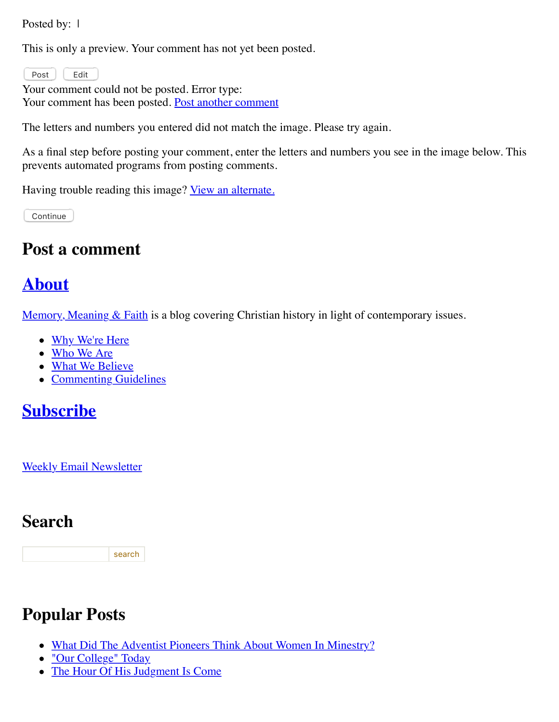Posted by: 1

This is only a preview. Your comment has not yet been posted.

Post | Edit

Your comment could not be posted. Error type: Your comment has been posted. [Post another comment](javascript:void%200;)

<span id="page-5-0"></span>The letters and numbers you entered did not match the image. Please try again.

As a final step before posting your comment, enter the letters and numbers you see in the image below. This prevents automated programs from posting comments.

Having trouble reading this image? [View an alternate.](#page-5-0)

Continue

#### **Post a comment**

### **[About](http://web.archive.org/web/20120713022826/http://memorymeaningfaith.typepad.com/blog/about.html)**

Memory, Meaning  $& Faith$  is a blog covering Christian history in light of contemporary issues.

- [Why We're Here](http://web.archive.org/web/20120713022826/http://www.memorymeaningfaith.org/blog/why-were-here.html)
- [Who We Are](http://web.archive.org/web/20120713022826/http://www.memorymeaningfaith.org/blog/who-we-are.html)
- [What We Believe](http://web.archive.org/web/20120713022826/http://www.memorymeaningfaith.org/blog/what-we-believe.html)
- [Commenting Guidelines](http://web.archive.org/web/20120713022826/http://www.memorymeaningfaith.org/blog/commenting-guidelines.html)

### **[Subscribe](http://web.archive.org/web/20120713022826/http://www.memorymeaningfaith.org/blog/subscribe.html)**

[Weekly Email Newsletter](http://web.archive.org/web/20120713022826/http://eepurl.com/im9P)

### **Search**

search

### **Popular Posts**

- [What Did The Adventist Pioneers Think About Women In Minestry?](http://web.archive.org/web/20120713022826/http://www.memorymeaningfaith.org/blog/2010/04/adventist-pioneers-women-ministry.html)
- ["Our College" Today](http://web.archive.org/web/20120713022826/http://www.memorymeaningfaith.org/blog/2010/06/our-college-today-.html)
- [The Hour Of His Judgment Is Come](http://web.archive.org/web/20120713022826/http://www.memorymeaningfaith.org/blog/2010/04/hour-judgment-is-come.html)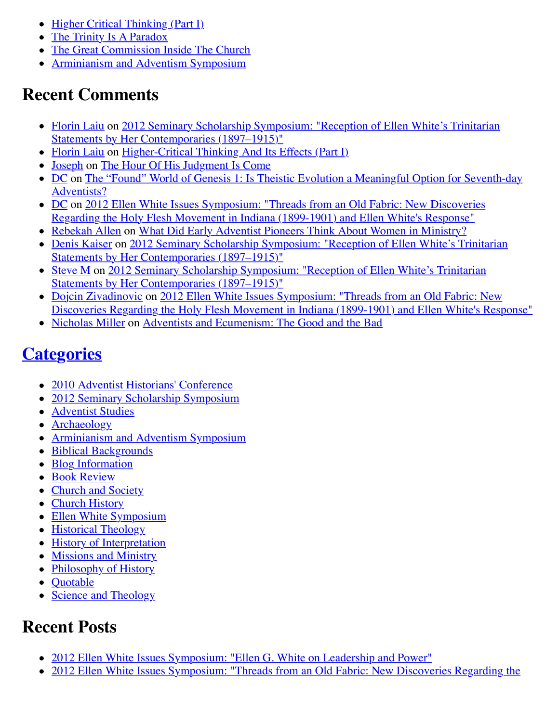- [Higher Critical Thinking \(Part I\)](http://web.archive.org/web/20120713022826/http://www.memorymeaningfaith.org/blog/2010/03/highercritical-thinking-part-i.html)
- [The Trinity Is A Paradox](http://web.archive.org/web/20120713022826/http://www.memorymeaningfaith.org/blog/2010/03/the-trinity-is-a-paradox.html)
- [The Great Commission Inside The Church](http://web.archive.org/web/20120713022826/http://www.memorymeaningfaith.org/blog/2010/04/the-great-comission-inside-the-church.html)
- [Arminianism and Adventism Symposium](http://web.archive.org/web/20120713022826/http://www.memorymeaningfaith.org/blog/arminianism-and-adventism-symposium/)

### **Recent Comments**

- [Florin Laiu on 2012 Seminary Scholarship Symposium: "Reception of Ellen White's Trinitarian](http://web.archive.org/web/20120713022826/http://www.memorymeaningfaith.org/blog/2012/02/2012-seminary-scholarship-symposium-.html) Statements by Her Contemporaries (1897–1915)"
- [Florin Laiu](http://web.archive.org/web/20120713022826/http://www.memorymeaningfaith.org/blog/2010/03/highercritical-thinking-part-i.html?cid=6a01287656f488970c017615d52191970c#comment-6a01287656f488970c017615d52191970c) on [Higher-Critical Thinking And Its Effects \(Part I\)](http://web.archive.org/web/20120713022826/http://www.memorymeaningfaith.org/blog/2010/03/highercritical-thinking-part-i.html)
- [Joseph](http://web.archive.org/web/20120713022826/http://www.memorymeaningfaith.org/blog/2010/04/hour-judgment-is-come.html?cid=6a01287656f488970c0176159b59aa970c#comment-6a01287656f488970c0176159b59aa970c) on [The Hour Of His Judgment Is Come](http://web.archive.org/web/20120713022826/http://www.memorymeaningfaith.org/blog/2010/04/hour-judgment-is-come.html)
- [D](http://web.archive.org/web/20120713022826/http://www.memorymeaningfaith.org/blog/2011/01/found-world-of-genesis-1-theistic-evolution-1.html?cid=6a01287656f488970c0163067e3d65970d#comment-6a01287656f488970c0163067e3d65970d)[C on The "Found" World of Genesis 1: Is Theistic Evolution a Meaningful Option for Seventh-day](http://web.archive.org/web/20120713022826/http://www.memorymeaningfaith.org/blog/2011/01/found-world-of-genesis-1-theistic-evolution-1.html) Adventists?
- [D](http://web.archive.org/web/20120713022826/http://www.memorymeaningfaith.org/blog/2012/04/2012-ellen-whites-issues-symposium-threads-from-an-old-fabric-holy-flesh-movement-indiana.html?cid=6a01287656f488970c0176156750ef970c#comment-6a01287656f488970c0176156750ef970c)[C on 2012 Ellen White Issues Symposium: "Threads from an Old Fabric: New Discoveries](http://web.archive.org/web/20120713022826/http://www.memorymeaningfaith.org/blog/2012/04/2012-ellen-whites-issues-symposium-threads-from-an-old-fabric-holy-flesh-movement-indiana.html) Regarding the Holy Flesh Movement in Indiana (1899-1901) and Ellen White's Response"
- [Rebekah Allen](http://web.archive.org/web/20120713022826/http://www.memorymeaningfaith.org/blog/2010/04/adventist-pioneers-women-ministry.html?cid=6a01287656f488970c0168eb2eb63d970c#comment-6a01287656f488970c0168eb2eb63d970c) on [What Did Early Adventist Pioneers Think About Women in Ministry?](http://web.archive.org/web/20120713022826/http://www.memorymeaningfaith.org/blog/2010/04/adventist-pioneers-women-ministry.html)
- [Denis Kaiser](http://web.archive.org/web/20120713022826/http://www.memorymeaningfaith.org/blog/2012/02/2012-seminary-scholarship-symposium-.html?cid=6a01287656f488970c0168eb122789970c#comment-6a01287656f488970c0168eb122789970c) [on 2012 Seminary Scholarship Symposium: "Reception of Ellen White's Trinitarian](http://web.archive.org/web/20120713022826/http://www.memorymeaningfaith.org/blog/2012/02/2012-seminary-scholarship-symposium-.html) Statements by Her Contemporaries (1897–1915)"
- [Steve](http://web.archive.org/web/20120713022826/http://www.memorymeaningfaith.org/blog/2012/02/2012-seminary-scholarship-symposium-.html?cid=6a01287656f488970c01630519bd58970d#comment-6a01287656f488970c01630519bd58970d) [M on 2012 Seminary Scholarship Symposium: "Reception of Ellen White's Trinitarian](http://web.archive.org/web/20120713022826/http://www.memorymeaningfaith.org/blog/2012/02/2012-seminary-scholarship-symposium-.html) Statements by Her Contemporaries (1897–1915)"
- [Dojcin Zivadinovic](http://web.archive.org/web/20120713022826/http://www.memorymeaningfaith.org/blog/2012/04/2012-ellen-whites-issues-symposium-threads-from-an-old-fabric-holy-flesh-movement-indiana.html?cid=6a01287656f488970c0168ea439e71970c#comment-6a01287656f488970c0168ea439e71970c) on 2012 Ellen White Issues Symposium: "Threads from an Old Fabric: New [Discoveries Regarding the Holy Flesh Movement in Indiana \(1899-1901\) and Ellen White's Response"](http://web.archive.org/web/20120713022826/http://www.memorymeaningfaith.org/blog/2012/04/2012-ellen-whites-issues-symposium-threads-from-an-old-fabric-holy-flesh-movement-indiana.html)
- [Nicholas Miller](http://web.archive.org/web/20120713022826/http://www.memorymeaningfaith.org/blog/2012/02/adventists-and-ecumenism-the-good-and-the-bad.html?cid=6a01287656f488970c01676529bb76970b#comment-6a01287656f488970c01676529bb76970b) on [Adventists and Ecumenism: The Good and the Bad](http://web.archive.org/web/20120713022826/http://www.memorymeaningfaith.org/blog/2012/02/adventists-and-ecumenism-the-good-and-the-bad.html)

# **[Categories](http://web.archive.org/web/20120713022826/http://www.memorymeaningfaith.org/blog/archives.html)**

- [2010 Adventist Historians' Conference](http://web.archive.org/web/20120713022826/http://www.memorymeaningfaith.org/blog/2010-adventist-historians-conference/)
- [2012 Seminary Scholarship Symposium](http://web.archive.org/web/20120713022826/http://www.memorymeaningfaith.org/blog/2012-seminary-scholarship-symposium/)
- [Adventist Studies](http://web.archive.org/web/20120713022826/http://www.memorymeaningfaith.org/blog/adventist-studies/)
- [Archaeology](http://web.archive.org/web/20120713022826/http://www.memorymeaningfaith.org/blog/archaeology/)
- [Arminianism and Adventism Symposium](http://web.archive.org/web/20120713022826/http://www.memorymeaningfaith.org/blog/arminianism-and-adventism-symposium/)
- [Biblical Backgrounds](http://web.archive.org/web/20120713022826/http://www.memorymeaningfaith.org/blog/biblical-backgrounds/)
- **[Blog Information](http://web.archive.org/web/20120713022826/http://www.memorymeaningfaith.org/blog/blog-info/)**
- **[Book Review](http://web.archive.org/web/20120713022826/http://www.memorymeaningfaith.org/blog/book-review/)**
- [Church and Society](http://web.archive.org/web/20120713022826/http://www.memorymeaningfaith.org/blog/church-and-society/)
- [Church History](http://web.archive.org/web/20120713022826/http://www.memorymeaningfaith.org/blog/church-history/)
- [Ellen White Symposium](http://web.archive.org/web/20120713022826/http://www.memorymeaningfaith.org/blog/ellen-white-symposium/)
- [Historical Theology](http://web.archive.org/web/20120713022826/http://www.memorymeaningfaith.org/blog/theology/)
- [History of Interpretation](http://web.archive.org/web/20120713022826/http://www.memorymeaningfaith.org/blog/history-of-interpretation/)
- [Missions and Ministry](http://web.archive.org/web/20120713022826/http://www.memorymeaningfaith.org/blog/missions-and-ministry/)
- [Philosophy of History](http://web.archive.org/web/20120713022826/http://www.memorymeaningfaith.org/blog/philosophy-of-history/)
- [Quotable](http://web.archive.org/web/20120713022826/http://www.memorymeaningfaith.org/blog/sources/)
- [Science and Theology](http://web.archive.org/web/20120713022826/http://www.memorymeaningfaith.org/blog/science-and-theology/)

## **Recent Posts**

- [2012 Ellen White Issues Symposium: "Ellen G. White on Leadership and Power"](http://web.archive.org/web/20120713022826/http://www.memorymeaningfaith.org/blog/2012/04/2012-ellen-whites-issues-symposium-white-on-leadership-and-power.html)
- [2012 Ellen White Issues Symposium: "Threads from an Old Fabric: New Discoveries Regarding the](http://web.archive.org/web/20120713022826/http://www.memorymeaningfaith.org/blog/2012/04/2012-ellen-whites-issues-symposium-threads-from-an-old-fabric-holy-flesh-movement-indiana.html)